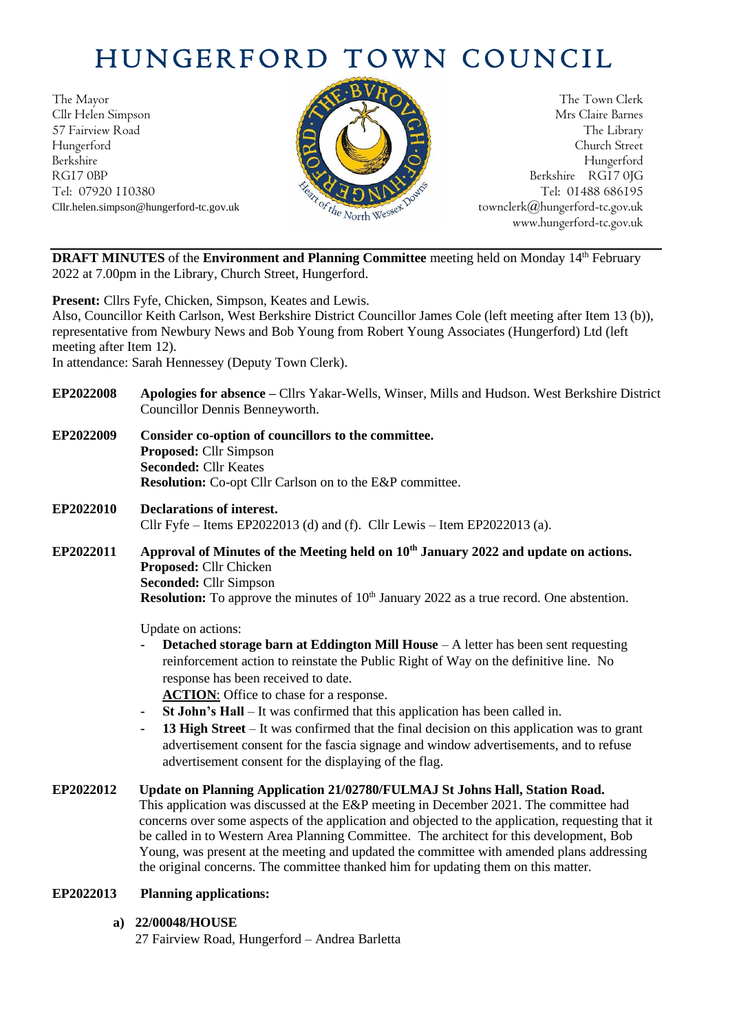# HUNGERFORD TOWN COUNCIL

The Mayor The Town Clerk<br>Clir Helen Simpson Mrs Claire Barnes Cllr Helen Simpson 57 Fairview Road The Library (1999) and the Library (1999) and the Library (1999) and the Library (1999) and the Library (1999) and the Library (1999) and the Library (1999) and the Library (1999) and the Library (1999) an Hungerford Church Street Berkshire Hungerford RG17 0BP Berkshire RG17 0JG Cllr.helen.simpson@hungerford-tc.gov.uk



Tel: 07920 110380 Tel: 01488 686195<br>Cllr.helen.simpson@hungerford-tc.gov.uk townclerk@hungerford-tc.gov.uk townclerk@hungerford-tc.gov.uk www.hungerford-tc.gov.uk

**DRAFT MINUTES** of the **Environment and Planning Committee** meeting held on Monday 14<sup>th</sup> February 2022 at 7.00pm in the Library, Church Street, Hungerford.

**Present:** Cllrs Fyfe, Chicken, Simpson, Keates and Lewis.

Also, Councillor Keith Carlson, West Berkshire District Councillor James Cole (left meeting after Item 13 (b)), representative from Newbury News and Bob Young from Robert Young Associates (Hungerford) Ltd (left meeting after Item 12).

In attendance: Sarah Hennessey (Deputy Town Clerk).

- **EP2022008 Apologies for absence –** Cllrs Yakar-Wells, Winser, Mills and Hudson. West Berkshire District Councillor Dennis Benneyworth.
- **EP2022009 Consider co-option of councillors to the committee. Proposed:** Cllr Simpson **Seconded:** Cllr Keates **Resolution:** Co-opt Cllr Carlson on to the E&P committee.
- **EP2022010 Declarations of interest.** Cllr Fyfe – Items EP2022013 (d) and (f). Cllr Lewis – Item EP2022013 (a).
- **EP2022011 Approval of Minutes of the Meeting held on 10 th January 2022 and update on actions. Proposed:** Cllr Chicken **Seconded:** Cllr Simpson **Resolution:** To approve the minutes of 10<sup>th</sup> January 2022 as a true record. One abstention.

Update on actions:

**Detached storage barn at Eddington Mill House** – A letter has been sent requesting reinforcement action to reinstate the Public Right of Way on the definitive line. No response has been received to date.

**ACTION**: Office to chase for a response.

- **- St John's Hall**  It was confirmed that this application has been called in.
- **- 13 High Street**  It was confirmed that the final decision on this application was to grant advertisement consent for the fascia signage and window advertisements, and to refuse advertisement consent for the displaying of the flag.
- **EP2022012 Update on Planning Application 21/02780/FULMAJ St Johns Hall, Station Road.** This application was discussed at the E&P meeting in December 2021. The committee had concerns over some aspects of the application and objected to the application, requesting that it be called in to Western Area Planning Committee. The architect for this development, Bob Young, was present at the meeting and updated the committee with amended plans addressing the original concerns. The committee thanked him for updating them on this matter.

# **EP2022013 Planning applications:**

**a) 22/00048/HOUSE**

27 Fairview Road, Hungerford – Andrea Barletta